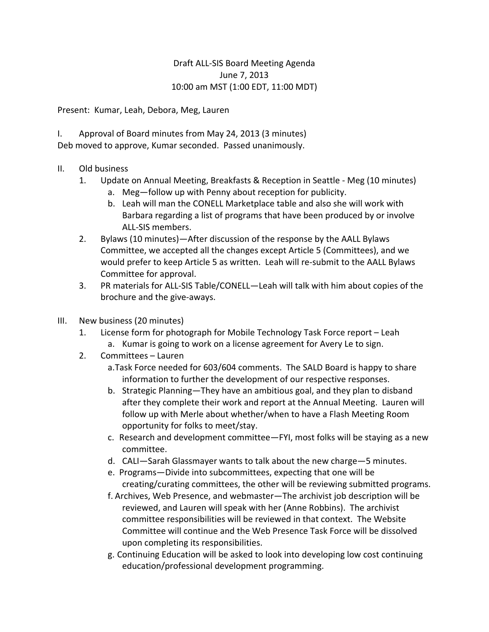## Draft ALL-SIS Board Meeting Agenda June 7, 2013 10:00 am MST (1:00 EDT, 11:00 MDT)

Present: Kumar, Leah, Debora, Meg, Lauren

I. Approval of Board minutes from May 24, 2013 (3 minutes) Deb moved to approve, Kumar seconded. Passed unanimously.

## II. Old business

- 1. Update on Annual Meeting, Breakfasts & Reception in Seattle Meg (10 minutes)
	- a. Meg—follow up with Penny about reception for publicity.
	- b. Leah will man the CONELL Marketplace table and also she will work with Barbara regarding a list of programs that have been produced by or involve ALL-SIS members.
- 2. Bylaws (10 minutes)—After discussion of the response by the AALL Bylaws Committee, we accepted all the changes except Article 5 (Committees), and we would prefer to keep Article 5 as written. Leah will re-submit to the AALL Bylaws Committee for approval.
- 3. PR materials for ALL-SIS Table/CONELL—Leah will talk with him about copies of the brochure and the give-aways.
- III. New business (20 minutes)
	- 1. License form for photograph for Mobile Technology Task Force report Leah
		- a. Kumar is going to work on a license agreement for Avery Le to sign.
	- 2. Committees Lauren
		- a.Task Force needed for 603/604 comments. The SALD Board is happy to share information to further the development of our respective responses.
		- b. Strategic Planning—They have an ambitious goal, and they plan to disband after they complete their work and report at the Annual Meeting. Lauren will follow up with Merle about whether/when to have a Flash Meeting Room opportunity for folks to meet/stay.
		- c. Research and development committee—FYI, most folks will be staying as a new committee.
		- d. CALI—Sarah Glassmayer wants to talk about the new charge—5 minutes.
		- e. Programs—Divide into subcommittees, expecting that one will be creating/curating committees, the other will be reviewing submitted programs.
		- f. Archives, Web Presence, and webmaster—The archivist job description will be reviewed, and Lauren will speak with her (Anne Robbins). The archivist committee responsibilities will be reviewed in that context. The Website Committee will continue and the Web Presence Task Force will be dissolved upon completing its responsibilities.
		- g. Continuing Education will be asked to look into developing low cost continuing education/professional development programming.